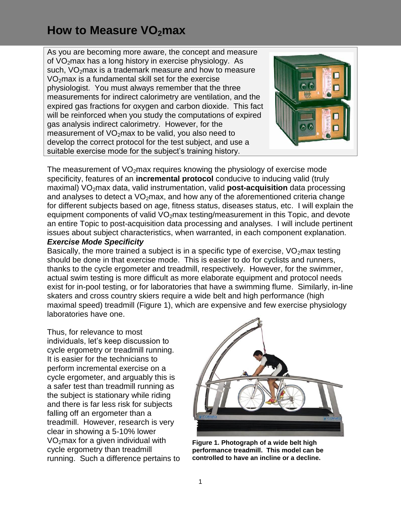As you are becoming more aware, the concept and measure of VO<sub>2</sub>max has a long history in exercise physiology. As such,  $VO<sub>2</sub>$  max is a trademark measure and how to measure VO<sub>2</sub>max is a fundamental skill set for the exercise physiologist. You must always remember that the three measurements for indirect calorimetry are ventilation, and the expired gas fractions for oxygen and carbon dioxide. This fact will be reinforced when you study the computations of expired gas analysis indirect calorimetry. However, for the measurement of  $VO<sub>2</sub>$ max to be valid, you also need to develop the correct protocol for the test subject, and use a suitable exercise mode for the subject's training history.



The measurement of  $VO<sub>2</sub>$ max requires knowing the physiology of exercise mode specificity, features of an **incremental protocol** conducive to inducing valid (truly maximal) VO<sub>2</sub>max data, valid instrumentation, valid **post-acquisition** data processing and analyses to detect a  $VO<sub>2</sub>$  max, and how any of the aforementioned criteria change for different subjects based on age, fitness status, diseases status, etc. I will explain the equipment components of valid  $VO<sub>2</sub>$  max testing/measurement in this Topic, and devote an entire Topic to post-acquisition data processing and analyses. I will include pertinent issues about subject characteristics, when warranted, in each component explanation. *Exercise Mode Specificity*

Basically, the more trained a subject is in a specific type of exercise,  $VO<sub>2</sub>$ max testing should be done in that exercise mode. This is easier to do for cyclists and runners, thanks to the cycle ergometer and treadmill, respectively. However, for the swimmer, actual swim testing is more difficult as more elaborate equipment and protocol needs exist for in-pool testing, or for laboratories that have a swimming flume. Similarly, in-line skaters and cross country skiers require a wide belt and high performance (high maximal speed) treadmill (Figure 1), which are expensive and few exercise physiology laboratories have one.

Thus, for relevance to most individuals, let's keep discussion to cycle ergometry or treadmill running. It is easier for the technicians to perform incremental exercise on a cycle ergometer, and arguably this is a safer test than treadmill running as the subject is stationary while riding and there is far less risk for subjects falling off an ergometer than a treadmill. However, research is very clear in showing a 5-10% lower VO2max for a given individual with cycle ergometry than treadmill running. Such a difference pertains to



**Figure 1. Photograph of a wide belt high performance treadmill. This model can be controlled to have an incline or a decline.**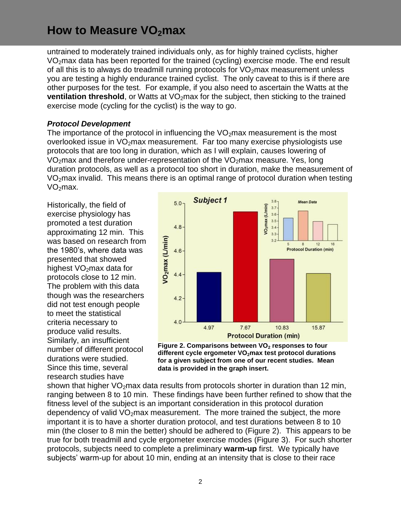untrained to moderately trained individuals only, as for highly trained cyclists, higher VO2max data has been reported for the trained (cycling) exercise mode. The end result of all this is to always do treadmill running protocols for  $VO<sub>2</sub>$  max measurement unless you are testing a highly endurance trained cyclist. The only caveat to this is if there are other purposes for the test. For example, if you also need to ascertain the Watts at the **ventilation threshold**, or Watts at VO<sub>2</sub>max for the subject, then sticking to the trained exercise mode (cycling for the cyclist) is the way to go.

#### *Protocol Development*

The importance of the protocol in influencing the  $VO<sub>2</sub>$  max measurement is the most overlooked issue in  $VO<sub>2</sub>$  max measurement. Far too many exercise physiologists use protocols that are too long in duration, which as I will explain, causes lowering of  $VO<sub>2</sub>$ max and therefore under-representation of the  $VO<sub>2</sub>$ max measure. Yes, long duration protocols, as well as a protocol too short in duration, make the measurement of  $VO<sub>2</sub>$ max invalid. This means there is an optimal range of protocol duration when testing  $VO<sub>2</sub>$ max.

Historically, the field of exercise physiology has promoted a test duration approximating 12 min. This was based on research from the 1980's, where data was presented that showed highest  $VO<sub>2</sub>$ max data for protocols close to 12 min. The problem with this data though was the researchers did not test enough people to meet the statistical criteria necessary to produce valid results. Similarly, an insufficient number of different protocol durations were studied. Since this time, several research studies have





shown that higher  $VO<sub>2</sub>max$  data results from protocols shorter in duration than 12 min, ranging between 8 to 10 min. These findings have been further refined to show that the fitness level of the subject is an important consideration in this protocol duration dependency of valid  $VO<sub>2</sub>$  max measurement. The more trained the subject, the more important it is to have a shorter duration protocol, and test durations between 8 to 10 min (the closer to 8 min the better) should be adhered to (Figure 2). This appears to be true for both treadmill and cycle ergometer exercise modes (Figure 3). For such shorter protocols, subjects need to complete a preliminary **warm-up** first. We typically have subjects' warm-up for about 10 min, ending at an intensity that is close to their race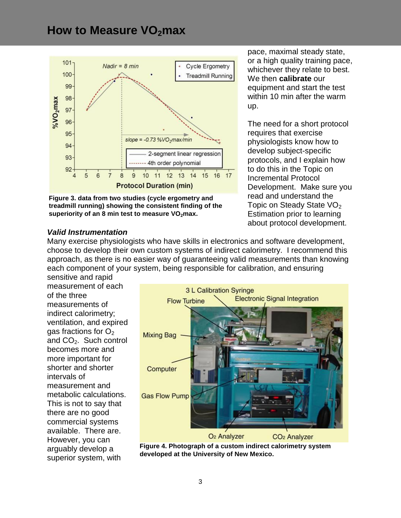

**Figure 3. data from two studies (cycle ergometry and treadmill running) showing the consistent finding of the superiority of an 8 min test to measure VO2max.**

*Valid Instrumentation*

pace, maximal steady state, or a high quality training pace, whichever they relate to best. We then **calibrate** our equipment and start the test within 10 min after the warm up.

The need for a short protocol requires that exercise physiologists know how to develop subject-specific protocols, and I explain how to do this in the Topic on Incremental Protocol Development. Make sure you read and understand the Topic on Steady State  $VO<sub>2</sub>$ Estimation prior to learning about protocol development.

Many exercise physiologists who have skills in electronics and software development, choose to develop their own custom systems of indirect calorimetry. I recommend this approach, as there is no easier way of guaranteeing valid measurements than knowing each component of your system, being responsible for calibration, and ensuring sensitive and rapid

measurement of each of the three measurements of indirect calorimetry; ventilation, and expired gas fractions for  $O<sub>2</sub>$ and  $CO<sub>2</sub>$ . Such control becomes more and more important for shorter and shorter intervals of measurement and metabolic calculations. This is not to say that there are no good commercial systems available. There are. However, you can arguably develop a superior system, with



**Figure 4. Photograph of a custom indirect calorimetry system developed at the University of New Mexico.**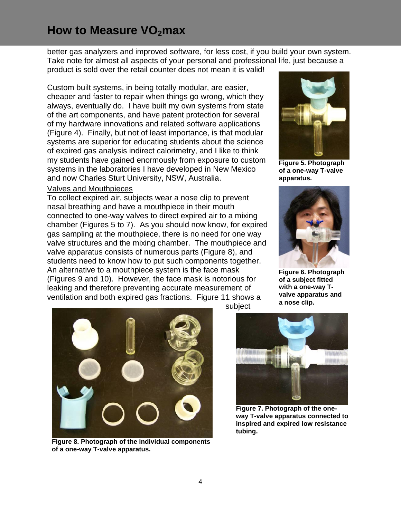better gas analyzers and improved software, for less cost, if you build your own system. Take note for almost all aspects of your personal and professional life, just because a

product is sold over the retail counter does not mean it is valid!

Custom built systems, in being totally modular, are easier, cheaper and faster to repair when things go wrong, which they always, eventually do. I have built my own systems from state of the art components, and have patent protection for several of my hardware innovations and related software applications (Figure 4). Finally, but not of least importance, is that modular systems are superior for educating students about the science of expired gas analysis indirect calorimetry, and I like to think my students have gained enormously from exposure to custom systems in the laboratories I have developed in New Mexico and now Charles Sturt University, NSW, Australia.

#### Valves and Mouthpieces

To collect expired air, subjects wear a nose clip to prevent nasal breathing and have a mouthpiece in their mouth connected to one-way valves to direct expired air to a mixing chamber (Figures 5 to 7). As you should now know, for expired gas sampling at the mouthpiece, there is no need for one way valve structures and the mixing chamber. The mouthpiece and valve apparatus consists of numerous parts (Figure 8), and students need to know how to put such components together. An alternative to a mouthpiece system is the face mask (Figures 9 and 10). However, the face mask is notorious for leaking and therefore preventing accurate measurement of ventilation and both expired gas fractions. Figure 11 shows a



**Figure 5. Photograph of a one-way T-valve apparatus.**



**Figure 6. Photograph of a subject fitted with a one-way Tvalve apparatus and a nose clip.**



**Figure 8. Photograph of the individual components of a one-way T-valve apparatus.**

subject



**Figure 7. Photograph of the oneway T-valve apparatus connected to inspired and expired low resistance tubing.**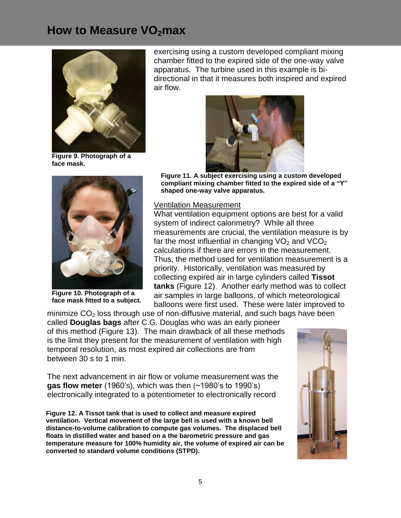

**Figure 9. Photograph of a face mask.**



**Figure 10. Photograph of a face mask fitted to a subject.**

exercising using a custom developed compliant mixing chamber fitted to the expired side of the one-way valve apparatus. The turbine used in this example is bidirectional in that it measures both inspired and expired air flow.



**Figure 11. A subject exercising using a custom developed compliant mixing chamber fitted to the expired side of a "Y" shaped one-way valve apparatus.**

#### Ventilation Measurement

What ventilation equipment options are best for a valid system of indirect calorimetry? While all three measurements are crucial, the ventilation measure is by far the most influential in changing  $VO<sub>2</sub>$  and  $VCO<sub>2</sub>$ calculations if there are errors in the measurement. Thus, the method used for ventilation measurement is a priority. Historically, ventilation was measured by collecting expired air in large cylinders called **Tissot tanks** (Figure 12). Another early method was to collect air samples in large balloons, of which meteorological balloons were first used. These were later improved to

minimize  $CO<sub>2</sub>$  loss through use of non-diffusive material, and such bags have been called **Douglas bags** after C.G. Douglas who was an early pioneer of this method (Figure 13). The main drawback of all these methods is the limit they present for the measurement of ventilation with high temporal resolution, as most expired air collections are from between 30 s to 1 min.

The next advancement in air flow or volume measurement was the **gas flow meter** (1960's), which was then (~1980's to 1990's) electronically integrated to a potentiometer to electronically record

**Figure 12. A Tissot tank that is used to collect and measure expired ventilation. Vertical movement of the large bell is used with a known bell distance-to-volume calibration to compute gas volumes. The displaced bell floats in distilled water and based on a the barometric pressure and gas temperature measure for 100% humidity air, the volume of expired air can be converted to standard volume conditions (STPD).**

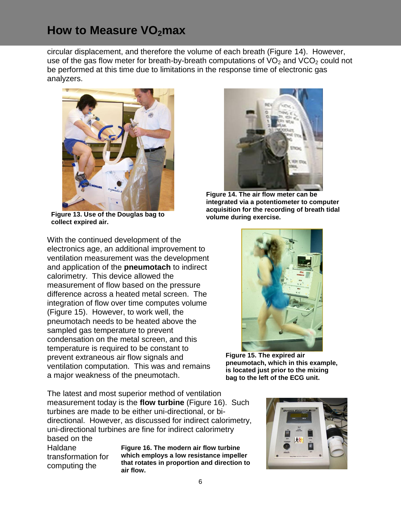circular displacement, and therefore the volume of each breath (Figure 14). However, use of the gas flow meter for breath-by-breath computations of  $VO<sub>2</sub>$  and  $VCO<sub>2</sub>$  could not be performed at this time due to limitations in the response time of electronic gas analyzers.



**Figure 13. Use of the Douglas bag to collect expired air.**

With the continued development of the electronics age, an additional improvement to ventilation measurement was the development and application of the **pneumotach** to indirect calorimetry. This device allowed the measurement of flow based on the pressure difference across a heated metal screen. The integration of flow over time computes volume (Figure 15). However, to work well, the pneumotach needs to be heated above the sampled gas temperature to prevent condensation on the metal screen, and this temperature is required to be constant to prevent extraneous air flow signals and ventilation computation. This was and remains a major weakness of the pneumotach.

The latest and most superior method of ventilation measurement today is the **flow turbine** (Figure 16). Such turbines are made to be either uni-directional, or bidirectional. However, as discussed for indirect calorimetry, uni-directional turbines are fine for indirect calorimetry based on the

Haldane transformation for computing the

**Figure 16. The modern air flow turbine which employs a low resistance impeller that rotates in proportion and direction to air flow.**



**Figure 14. The air flow meter can be integrated via a potentiometer to computer acquisition for the recording of breath tidal volume during exercise.**



**Figure 15. The expired air pneumotach, which in this example, is located just prior to the mixing bag to the left of the ECG unit.**

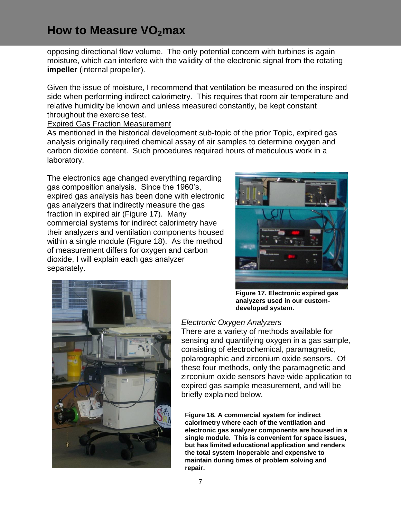opposing directional flow volume. The only potential concern with turbines is again moisture, which can interfere with the validity of the electronic signal from the rotating **impeller** (internal propeller).

Given the issue of moisture, I recommend that ventilation be measured on the inspired side when performing indirect calorimetry. This requires that room air temperature and relative humidity be known and unless measured constantly, be kept constant throughout the exercise test.

Expired Gas Fraction Measurement

As mentioned in the historical development sub-topic of the prior Topic, expired gas analysis originally required chemical assay of air samples to determine oxygen and carbon dioxide content. Such procedures required hours of meticulous work in a laboratory.

The electronics age changed everything regarding gas composition analysis. Since the 1960's, expired gas analysis has been done with electronic gas analyzers that indirectly measure the gas fraction in expired air (Figure 17). Many commercial systems for indirect calorimetry have their analyzers and ventilation components housed within a single module (Figure 18). As the method of measurement differs for oxygen and carbon dioxide, I will explain each gas analyzer separately.





**Figure 17. Electronic expired gas analyzers used in our customdeveloped system.**

#### *Electronic Oxygen Analyzers*

There are a variety of methods available for sensing and quantifying oxygen in a gas sample, consisting of electrochemical, paramagnetic, polarographic and zirconium oxide sensors. Of these four methods, only the paramagnetic and zirconium oxide sensors have wide application to expired gas sample measurement, and will be briefly explained below.

**Figure 18. A commercial system for indirect calorimetry where each of the ventilation and electronic gas analyzer components are housed in a single module. This is convenient for space issues, but has limited educational application and renders the total system inoperable and expensive to maintain during times of problem solving and repair.**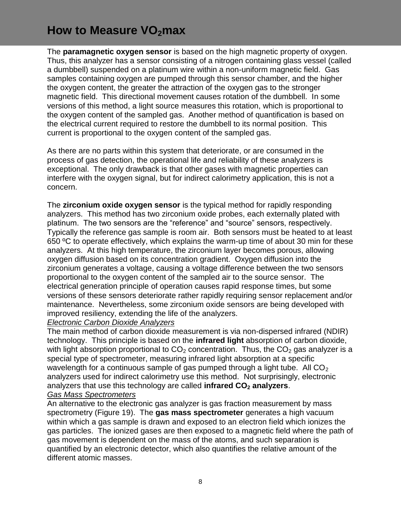The **paramagnetic oxygen sensor** is based on the high magnetic property of oxygen. Thus, this analyzer has a sensor consisting of a nitrogen containing glass vessel (called a dumbbell) suspended on a platinum wire within a non-uniform magnetic field. Gas samples containing oxygen are pumped through this sensor chamber, and the higher the oxygen content, the greater the attraction of the oxygen gas to the stronger magnetic field. This directional movement causes rotation of the dumbbell. In some versions of this method, a light source measures this rotation, which is proportional to the oxygen content of the sampled gas. Another method of quantification is based on the electrical current required to restore the dumbbell to its normal position. This current is proportional to the oxygen content of the sampled gas.

As there are no parts within this system that deteriorate, or are consumed in the process of gas detection, the operational life and reliability of these analyzers is exceptional. The only drawback is that other gases with magnetic properties can interfere with the oxygen signal, but for indirect calorimetry application, this is not a concern.

The **zirconium oxide oxygen sensor** is the typical method for rapidly responding analyzers. This method has two zirconium oxide probes, each externally plated with platinum. The two sensors are the "reference" and "source" sensors, respectively. Typically the reference gas sample is room air. Both sensors must be heated to at least 650 ºC to operate effectively, which explains the warm-up time of about 30 min for these analyzers. At this high temperature, the zirconium layer becomes porous, allowing oxygen diffusion based on its concentration gradient. Oxygen diffusion into the zirconium generates a voltage, causing a voltage difference between the two sensors proportional to the oxygen content of the sampled air to the source sensor. The electrical generation principle of operation causes rapid response times, but some versions of these sensors deteriorate rather rapidly requiring sensor replacement and/or maintenance. Nevertheless, some zirconium oxide sensors are being developed with improved resiliency, extending the life of the analyzers.

#### *Electronic Carbon Dioxide Analyzers*

The main method of carbon dioxide measurement is via non-dispersed infrared (NDIR) technology. This principle is based on the **infrared light** absorption of carbon dioxide, with light absorption proportional to  $CO<sub>2</sub>$  concentration. Thus, the  $CO<sub>2</sub>$  gas analyzer is a special type of spectrometer, measuring infrared light absorption at a specific wavelength for a continuous sample of gas pumped through a light tube. All  $CO<sub>2</sub>$ analyzers used for indirect calorimetry use this method. Not surprisingly, electronic analyzers that use this technology are called **infrared CO<sup>2</sup> analyzers**. *Gas Mass Spectrometers*

#### An alternative to the electronic gas analyzer is gas fraction measurement by mass spectrometry (Figure 19). The **gas mass spectrometer** generates a high vacuum within which a gas sample is drawn and exposed to an electron field which ionizes the gas particles. The ionized gases are then exposed to a magnetic field where the path of gas movement is dependent on the mass of the atoms, and such separation is quantified by an electronic detector, which also quantifies the relative amount of the different atomic masses.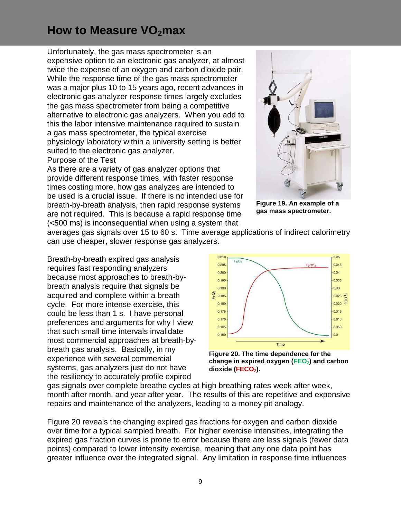Unfortunately, the gas mass spectrometer is an expensive option to an electronic gas analyzer, at almost twice the expense of an oxygen and carbon dioxide pair. While the response time of the gas mass spectrometer was a major plus 10 to 15 years ago, recent advances in electronic gas analyzer response times largely excludes the gas mass spectrometer from being a competitive alternative to electronic gas analyzers. When you add to this the labor intensive maintenance required to sustain a gas mass spectrometer, the typical exercise physiology laboratory within a university setting is better suited to the electronic gas analyzer.

#### Purpose of the Test

As there are a variety of gas analyzer options that provide different response times, with faster response times costing more, how gas analyzes are intended to be used is a crucial issue. If there is no intended use for breath-by-breath analysis, then rapid response systems are not required. This is because a rapid response time (<500 ms) is inconsequential when using a system that



**Figure 19. An example of a gas mass spectrometer.**

averages gas signals over 15 to 60 s. Time average applications of indirect calorimetry can use cheaper, slower response gas analyzers.

Breath-by-breath expired gas analysis requires fast responding analyzers because most approaches to breath-bybreath analysis require that signals be acquired and complete within a breath cycle. For more intense exercise, this could be less than 1 s. I have personal preferences and arguments for why I view that such small time intervals invalidate most commercial approaches at breath-bybreath gas analysis. Basically, in my experience with several commercial systems, gas analyzers just do not have the resiliency to accurately profile expired



**Figure 20. The time dependence for the change in expired oxygen (FEO2) and carbon dioxide (FECO2).**

gas signals over complete breathe cycles at high breathing rates week after week, month after month, and year after year. The results of this are repetitive and expensive repairs and maintenance of the analyzers, leading to a money pit analogy.

Figure 20 reveals the changing expired gas fractions for oxygen and carbon dioxide over time for a typical sampled breath. For higher exercise intensities, integrating the expired gas fraction curves is prone to error because there are less signals (fewer data points) compared to lower intensity exercise, meaning that any one data point has greater influence over the integrated signal. Any limitation in response time influences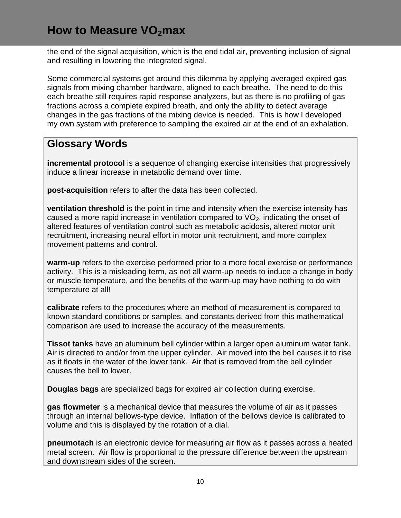the end of the signal acquisition, which is the end tidal air, preventing inclusion of signal and resulting in lowering the integrated signal.

Some commercial systems get around this dilemma by applying averaged expired gas signals from mixing chamber hardware, aligned to each breathe. The need to do this each breathe still requires rapid response analyzers, but as there is no profiling of gas fractions across a complete expired breath, and only the ability to detect average changes in the gas fractions of the mixing device is needed. This is how I developed my own system with preference to sampling the expired air at the end of an exhalation.

#### **Glossary Words**

**incremental protocol** is a sequence of changing exercise intensities that progressively induce a linear increase in metabolic demand over time.

**post-acquisition** refers to after the data has been collected.

**ventilation threshold** is the point in time and intensity when the exercise intensity has caused a more rapid increase in ventilation compared to  $VO<sub>2</sub>$ , indicating the onset of altered features of ventilation control such as metabolic acidosis, altered motor unit recruitment, increasing neural effort in motor unit recruitment, and more complex movement patterns and control.

**warm-up** refers to the exercise performed prior to a more focal exercise or performance activity. This is a misleading term, as not all warm-up needs to induce a change in body or muscle temperature, and the benefits of the warm-up may have nothing to do with temperature at all!

**calibrate** refers to the procedures where an method of measurement is compared to known standard conditions or samples, and constants derived from this mathematical comparison are used to increase the accuracy of the measurements.

**Tissot tanks** have an aluminum bell cylinder within a larger open aluminum water tank. Air is directed to and/or from the upper cylinder. Air moved into the bell causes it to rise as it floats in the water of the lower tank. Air that is removed from the bell cylinder causes the bell to lower.

**Douglas bags** are specialized bags for expired air collection during exercise.

**gas flowmeter** is a mechanical device that measures the volume of air as it passes through an internal bellows-type device. Inflation of the bellows device is calibrated to volume and this is displayed by the rotation of a dial.

**pneumotach** is an electronic device for measuring air flow as it passes across a heated metal screen. Air flow is proportional to the pressure difference between the upstream and downstream sides of the screen.